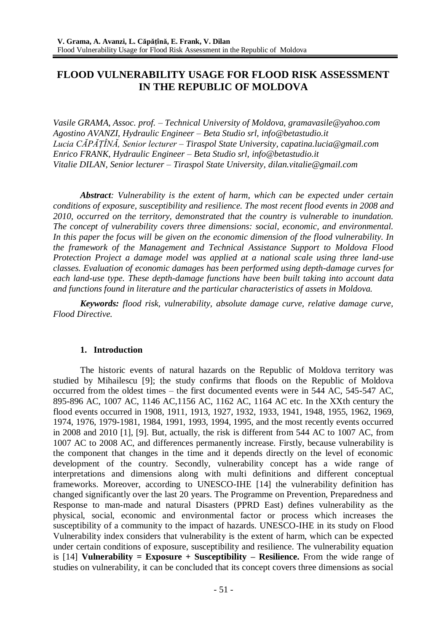# **FLOOD VULNERABILITY USAGE FOR FLOOD RISK ASSESSMENT IN THE REPUBLIC OF MOLDOVA**

*Vasile GRAMA, Assoc. prof. – Technical University of Moldova, [gramavasile@yahoo.com](mailto:gramavasile@yahoo.com) Agostino AVANZI, Hydraulic Engineer – Beta Studio srl, [info@betastudio.it](mailto:info@betastudio.it) Lucia CĂPĂȚÎNĂ, Senior lecturer – Tiraspol State University, [capatina.lucia@gmail.com](mailto:capatina.lucia@gmail.com) Enrico FRANK, Hydraulic Engineer – Beta Studio srl, [info@betastudio.it](mailto:info@betastudio.it) Vitalie DILAN, Senior lecturer – Tiraspol State University, [dilan.vitalie@gmail.com](mailto:dilan.vitalie@gmail.com)*

*Abstract: Vulnerability is the extent of harm, which can be expected under certain conditions of exposure, susceptibility and resilience. The most recent flood events in 2008 and 2010, occurred on the territory, demonstrated that the country is vulnerable to inundation. The concept of vulnerability covers three dimensions: social, economic, and environmental. In this paper the focus will be given on the economic dimension of the flood vulnerability. In the framework of the Management and Technical Assistance Support to Moldova Flood Protection Project a damage model was applied at a national scale using three land-use classes. Evaluation of economic damages has been performed using depth-damage curves for each land-use type. These depth-damage functions have been built taking into account data and functions found in literature and the particular characteristics of assets in Moldova.*

*Keywords: flood risk, vulnerability, absolute damage curve, relative damage curve, Flood Directive.*

## **1. Introduction**

The historic events of natural hazards on the Republic of Moldova territory was studied by Mihailescu [9]; the study confirms that floods on the Republic of Moldova occurred from the oldest times – the first documented events were in 544 AC, 545-547 AC, 895-896 AC, 1007 AC, 1146 AC,1156 AC, 1162 AC, 1164 AC etc. In the XXth century the flood events occurred in 1908, 1911, 1913, 1927, 1932, 1933, 1941, 1948, 1955, 1962, 1969, 1974, 1976, 1979-1981, 1984, 1991, 1993, 1994, 1995, and the most recently events occurred in 2008 and 2010 [1], [9]. But, actually, the risk is different from 544 AC to 1007 AC, from 1007 AC to 2008 AC, and differences permanently increase. Firstly, because vulnerability is the component that changes in the time and it depends directly on the level of economic development of the country. Secondly, vulnerability concept has a wide range of interpretations and dimensions along with multi definitions and different conceptual frameworks. Moreover, according to UNESCO-IHE [14] the vulnerability definition has changed significantly over the last 20 years. The Programme on Prevention, Preparedness and Response to man-made and natural Disasters (PPRD East) defines vulnerability as the physical, social, economic and environmental factor or process which increases the susceptibility of a community to the impact of hazards. UNESCO-IHE in its study on Flood Vulnerability index considers that vulnerability is the extent of harm, which can be expected under certain conditions of exposure, susceptibility and resilience. The vulnerability equation is [14] **Vulnerability = Exposure + Susceptibility – Resilience.** From the wide range of studies on vulnerability, it can be concluded that its concept covers three dimensions as social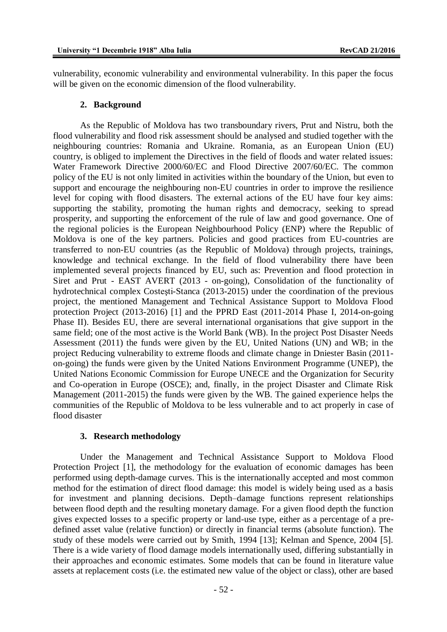vulnerability, economic vulnerability and environmental vulnerability. In this paper the focus will be given on the economic dimension of the flood vulnerability.

#### **2. Background**

As the Republic of Moldova has two transboundary rivers, Prut and Nistru, both the flood vulnerability and flood risk assessment should be analysed and studied together with the neighbouring countries: Romania and Ukraine. Romania, as an European Union (EU) country, is obliged to implement the Directives in the field of floods and water related issues: Water Framework Directive 2000/60/EC and Flood Directive 2007/60/EC. The common policy of the EU is not only limited in activities within the boundary of the Union, but even to support and encourage the neighbouring non-EU countries in order to improve the resilience level for coping with flood disasters. The external actions of the EU have four key aims: supporting the stability, promoting the human rights and democracy, seeking to spread prosperity, and supporting the enforcement of the rule of law and good governance. One of the regional policies is the European Neighbourhood Policy (ENP) where the Republic of Moldova is one of the key partners. Policies and good practices from EU-countries are transferred to non-EU countries (as the Republic of Moldova) through projects, trainings, knowledge and technical exchange. In the field of flood vulnerability there have been implemented several projects financed by EU, such as: Prevention and flood protection in Siret and Prut - EAST AVERT (2013 - on-going), Consolidation of the functionality of hydrotechnical complex Costeşti-Stanca (2013-2015) under the coordination of the previous project, the mentioned Management and Technical Assistance Support to Moldova Flood protection Project (2013-2016) [1] and the PPRD East (2011-2014 Phase I, 2014-on-going Phase II). Besides EU, there are several international organisations that give support in the same field; one of the most active is the World Bank (WB). In the project Post Disaster Needs Assessment (2011) the funds were given by the EU, United Nations (UN) and WB; in the project Reducing vulnerability to extreme floods and climate change in Dniester Basin (2011 on-going) the funds were given by the United Nations Environment Programme (UNEP), the United Nations Economic Commission for Europe UNECE and the Organization for Security and Co-operation in Europe (OSCE); and, finally, in the project Disaster and Climate Risk Management (2011-2015) the funds were given by the WB. The gained experience helps the communities of the Republic of Moldova to be less vulnerable and to act properly in case of flood disaster

### **3. Research methodology**

Under the Management and Technical Assistance Support to Moldova Flood Protection Project [1], the methodology for the evaluation of economic damages has been performed using depth-damage curves. This is the internationally accepted and most common method for the estimation of direct flood damage: this model is widely being used as a basis for investment and planning decisions. Depth–damage functions represent relationships between flood depth and the resulting monetary damage. For a given flood depth the function gives expected losses to a specific property or land-use type, either as a percentage of a predefined asset value (relative function) or directly in financial terms (absolute function). The study of these models were carried out by Smith, 1994 [13]; Kelman and Spence, 2004 [5]. There is a wide variety of flood damage models internationally used, differing substantially in their approaches and economic estimates. Some models that can be found in literature value assets at replacement costs (i.e. the estimated new value of the object or class), other are based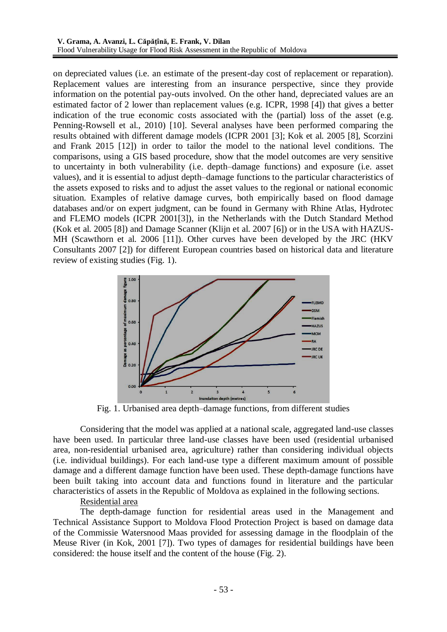on depreciated values (i.e. an estimate of the present-day cost of replacement or reparation). Replacement values are interesting from an insurance perspective, since they provide information on the potential pay-outs involved. On the other hand, depreciated values are an estimated factor of 2 lower than replacement values (e.g. ICPR, 1998 [4]) that gives a better indication of the true economic costs associated with the (partial) loss of the asset (e.g. Penning-Rowsell et al., 2010) [10]. Several analyses have been performed comparing the results obtained with different damage models (ICPR 2001 [3]; Kok et al. 2005 [8], Scorzini and Frank 2015 [12]) in order to tailor the model to the national level conditions. The comparisons, using a GIS based procedure, show that the model outcomes are very sensitive to uncertainty in both vulnerability (i.e. depth–damage functions) and exposure (i.e. asset values), and it is essential to adjust depth–damage functions to the particular characteristics of the assets exposed to risks and to adjust the asset values to the regional or national economic situation. Examples of relative damage curves, both empirically based on flood damage databases and/or on expert judgment, can be found in Germany with Rhine Atlas, Hydrotec and FLEMO models (ICPR 2001[3]), in the Netherlands with the Dutch Standard Method (Kok et al. 2005 [8]) and Damage Scanner (Klijn et al. 2007 [6]) or in the USA with HAZUS-MH (Scawthorn et al. 2006 [11]). Other curves have been developed by the JRC (HKV Consultants 2007 [2]) for different European countries based on historical data and literature review of existing studies (Fig. 1).



Fig. 1. Urbanised area depth–damage functions, from different studies

Considering that the model was applied at a national scale, aggregated land-use classes have been used. In particular three land-use classes have been used (residential urbanised area, non-residential urbanised area, agriculture) rather than considering individual objects (i.e. individual buildings). For each land-use type a different maximum amount of possible damage and a different damage function have been used. These depth-damage functions have been built taking into account data and functions found in literature and the particular characteristics of assets in the Republic of Moldova as explained in the following sections.

## Residential area

The depth-damage function for residential areas used in the Management and Technical Assistance Support to Moldova Flood Protection Project is based on damage data of the Commissie Watersnood Maas provided for assessing damage in the floodplain of the Meuse River (in Kok, 2001 [7]). Two types of damages for residential buildings have been considered: the house itself and the content of the house (Fig. 2).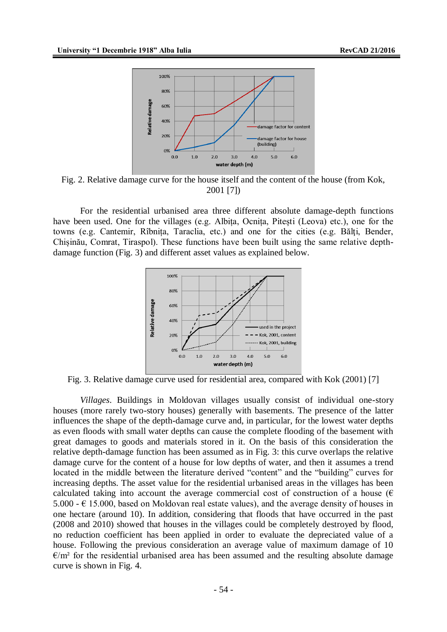

Fig. 2. Relative damage curve for the house itself and the content of the house (from Kok, 2001 [7])

For the residential urbanised area three different absolute damage-depth functions have been used. One for the villages (e.g. Albița, Ocnița, Pitești (Leova) etc.), one for the towns (e.g. Cantemir, Rîbnița, Taraclia, etc.) and one for the cities (e.g. Bălţi, Bender, Chișinău, Comrat, Tiraspol). These functions have been built using the same relative depthdamage function (Fig. 3) and different asset values as explained below.



Fig. 3. Relative damage curve used for residential area, compared with Kok (2001) [7]

*Villages*. Buildings in Moldovan villages usually consist of individual one-story houses (more rarely two-story houses) generally with basements. The presence of the latter influences the shape of the depth-damage curve and, in particular, for the lowest water depths as even floods with small water depths can cause the complete flooding of the basement with great damages to goods and materials stored in it. On the basis of this consideration the relative depth-damage function has been assumed as in Fig. 3: this curve overlaps the relative damage curve for the content of a house for low depths of water, and then it assumes a trend located in the middle between the literature derived "content" and the "building" curves for increasing depths. The asset value for the residential urbanised areas in the villages has been calculated taking into account the average commercial cost of construction of a house ( $\epsilon$ ) 5.000 -  $\epsilon$  15.000, based on Moldovan real estate values), and the average density of houses in one hectare (around 10). In addition, considering that floods that have occurred in the past (2008 and 2010) showed that houses in the villages could be completely destroyed by flood, no reduction coefficient has been applied in order to evaluate the depreciated value of a house. Following the previous consideration an average value of maximum damage of 10  $\epsilon/m^2$  for the residential urbanised area has been assumed and the resulting absolute damage curve is shown in Fig. 4.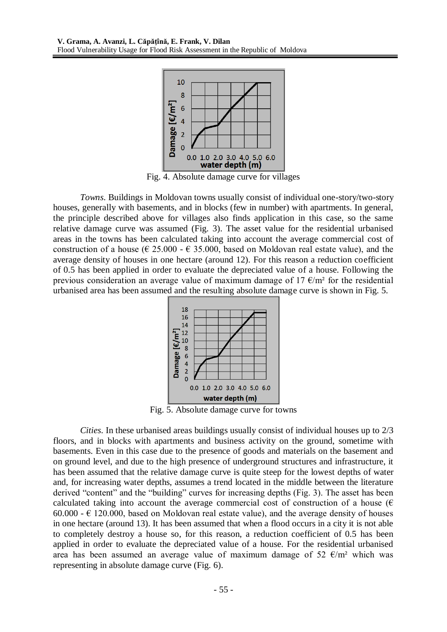

Fig. 4. Absolute damage curve for villages

*Towns*. Buildings in Moldovan towns usually consist of individual one-story/two-story houses, generally with basements, and in blocks (few in number) with apartments. In general, the principle described above for villages also finds application in this case, so the same relative damage curve was assumed (Fig. 3). The asset value for the residential urbanised areas in the towns has been calculated taking into account the average commercial cost of construction of a house ( $\epsilon$  25.000 -  $\epsilon$  35.000, based on Moldovan real estate value), and the average density of houses in one hectare (around 12). For this reason a reduction coefficient of 0.5 has been applied in order to evaluate the depreciated value of a house. Following the previous consideration an average value of maximum damage of 17  $\epsilon/m^2$  for the residential urbanised area has been assumed and the resulting absolute damage curve is shown in Fig. 5.



Fig. 5. Absolute damage curve for towns

*Cities*. In these urbanised areas buildings usually consist of individual houses up to 2/3 floors, and in blocks with apartments and business activity on the ground, sometime with basements. Even in this case due to the presence of goods and materials on the basement and on ground level, and due to the high presence of underground structures and infrastructure, it has been assumed that the relative damage curve is quite steep for the lowest depths of water and, for increasing water depths, assumes a trend located in the middle between the literature derived "content" and the "building" curves for increasing depths (Fig. 3). The asset has been calculated taking into account the average commercial cost of construction of a house ( $\epsilon$ ) 60.000 -  $\epsilon$  120.000, based on Moldovan real estate value), and the average density of houses in one hectare (around 13). It has been assumed that when a flood occurs in a city it is not able to completely destroy a house so, for this reason, a reduction coefficient of 0.5 has been applied in order to evaluate the depreciated value of a house. For the residential urbanised area has been assumed an average value of maximum damage of 52  $\epsilon/m^2$  which was representing in absolute damage curve (Fig. 6).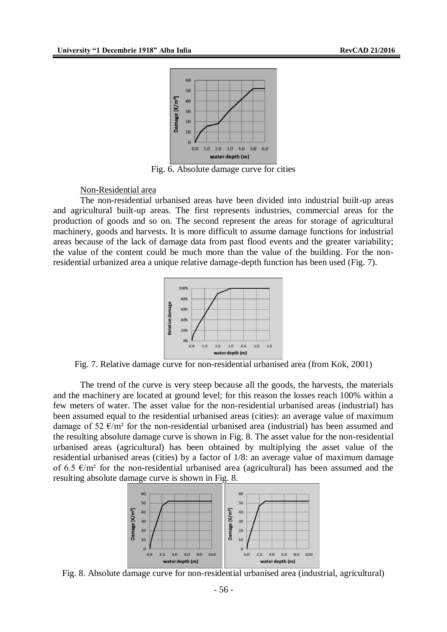

Fig. 6. Absolute damage curve for cities

Non-Residential area

The non-residential urbanised areas have been divided into industrial built-up areas and agricultural built-up areas. The first represents industries, commercial areas for the production of goods and so on. The second represent the areas for storage of agricultural machinery, goods and harvests. It is more difficult to assume damage functions for industrial areas because of the lack of damage data from past flood events and the greater variability; the value of the content could be much more than the value of the building. For the nonresidential urbanized area a unique relative damage-depth function has been used (Fig. 7).



Fig. 7. Relative damage curve for non-residential urbanised area (from Kok, 2001)

The trend of the curve is very steep because all the goods, the harvests, the materials and the machinery are located at ground level; for this reason the losses reach 100% within a few meters of water. The asset value for the non-residential urbanised areas (industrial) has been assumed equal to the residential urbanised areas (cities): an average value of maximum damage of 52  $\epsilon/m^2$  for the non-residential urbanised area (industrial) has been assumed and the resulting absolute damage curve is shown in Fig. 8. The asset value for the non-residential urbanised areas (agricultural) has been obtained by multiplying the asset value of the residential urbanised areas (cities) by a factor of 1/8: an average value of maximum damage of 6.5  $\epsilon/m^2$  for the non-residential urbanised area (agricultural) has been assumed and the resulting absolute damage curve is shown in Fig. 8.



Fig. 8. Absolute damage curve for non-residential urbanised area (industrial, agricultural)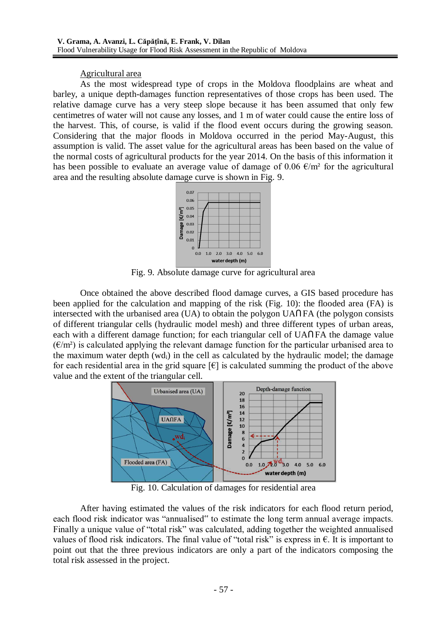# Agricultural area

As the most widespread type of crops in the Moldova floodplains are wheat and barley, a unique depth-damages function representatives of those crops has been used. The relative damage curve has a very steep slope because it has been assumed that only few centimetres of water will not cause any losses, and 1 m of water could cause the entire loss of the harvest. This, of course, is valid if the flood event occurs during the growing season. Considering that the major floods in Moldova occurred in the period May-August, this assumption is valid. The asset value for the agricultural areas has been based on the value of the normal costs of agricultural products for the year 2014. On the basis of this information it has been possible to evaluate an average value of damage of 0.06  $\epsilon/m^2$  for the agricultural area and the resulting absolute damage curve is shown in Fig. 9.



Fig. 9. Absolute damage curve for agricultural area

Once obtained the above described flood damage curves, a GIS based procedure has been applied for the calculation and mapping of the risk (Fig. 10): the flooded area (FA) is intersected with the urbanised area (UA) to obtain the polygon UAՈFA (the polygon consists of different triangular cells (hydraulic model mesh) and three different types of urban areas, each with a different damage function; for each triangular cell of UAՈFA the damage value  $(\epsilon/m^2)$  is calculated applying the relevant damage function for the particular urbanised area to the maximum water depth  $(wd_i)$  in the cell as calculated by the hydraulic model; the damage for each residential area in the grid square  $[f\epsilon]$  is calculated summing the product of the above value and the extent of the triangular cell.



Fig. 10. Calculation of damages for residential area

After having estimated the values of the risk indicators for each flood return period, each flood risk indicator was "annualised" to estimate the long term annual average impacts. Finally a unique value of "total risk" was calculated, adding together the weighted annualised values of flood risk indicators. The final value of "total risk" is express in  $\epsilon$ . It is important to point out that the three previous indicators are only a part of the indicators composing the total risk assessed in the project.